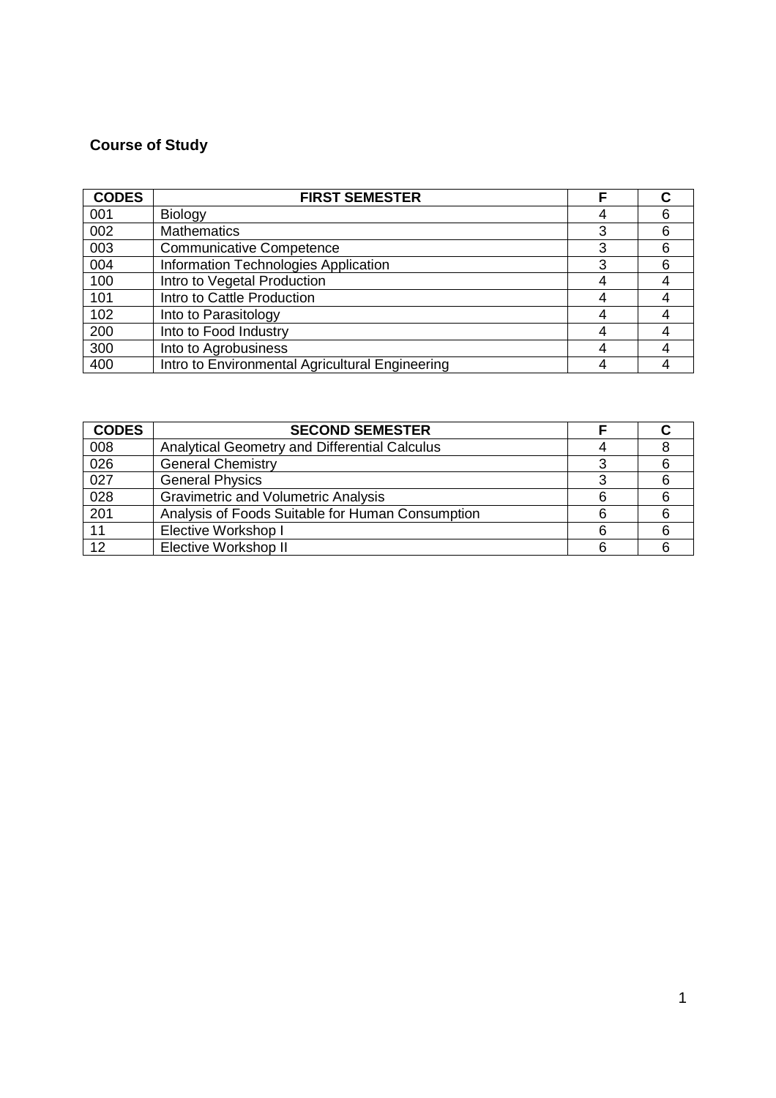## **Course of Study**

| <b>CODES</b> | <b>FIRST SEMESTER</b>                           |   |  |
|--------------|-------------------------------------------------|---|--|
| 001          | Biology                                         |   |  |
| 002          | <b>Mathematics</b>                              | 3 |  |
| 003          | <b>Communicative Competence</b>                 | 3 |  |
| 004          | Information Technologies Application            | 3 |  |
| 100          | Intro to Vegetal Production                     |   |  |
| 101          | Intro to Cattle Production                      |   |  |
| 102          | Into to Parasitology                            |   |  |
| 200          | Into to Food Industry                           |   |  |
| 300          | Into to Agrobusiness                            |   |  |
| 400          | Intro to Environmental Agricultural Engineering |   |  |

| <b>CODES</b>     | <b>SECOND SEMESTER</b>                           |   |  |
|------------------|--------------------------------------------------|---|--|
| 008              | Analytical Geometry and Differential Calculus    |   |  |
| 026              | <b>General Chemistry</b>                         |   |  |
| 027              | <b>General Physics</b>                           |   |  |
| $\overline{028}$ | <b>Gravimetric and Volumetric Analysis</b>       |   |  |
| 201              | Analysis of Foods Suitable for Human Consumption | հ |  |
| 11               | <b>Elective Workshop I</b>                       |   |  |
| 12               | Elective Workshop II                             |   |  |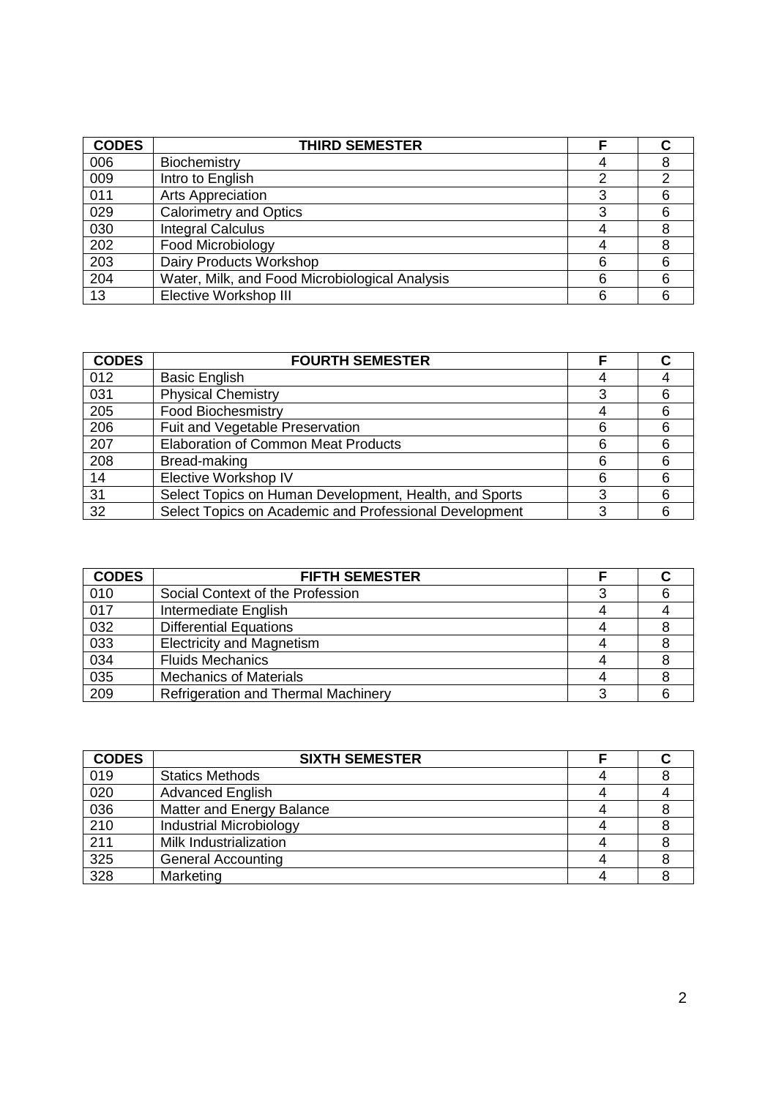| <b>CODES</b> | <b>THIRD SEMESTER</b>                          |   |   |
|--------------|------------------------------------------------|---|---|
| 006          | Biochemistry                                   |   |   |
| 009          | Intro to English                               | າ | ◠ |
| 011          | <b>Arts Appreciation</b>                       | 3 |   |
| 029          | <b>Calorimetry and Optics</b>                  | 3 |   |
| 030          | <b>Integral Calculus</b>                       |   |   |
| 202          | Food Microbiology                              |   |   |
| 203          | Dairy Products Workshop                        | 6 |   |
| 204          | Water, Milk, and Food Microbiological Analysis | 6 |   |
| 13           | <b>Elective Workshop III</b>                   | 6 |   |

| <b>CODES</b> | <b>FOURTH SEMESTER</b>                                 |   |  |
|--------------|--------------------------------------------------------|---|--|
| 012          | <b>Basic English</b>                                   |   |  |
| 031          | <b>Physical Chemistry</b>                              |   |  |
| 205          | <b>Food Biochesmistry</b>                              |   |  |
| 206          | Fuit and Vegetable Preservation                        | 6 |  |
| 207          | <b>Elaboration of Common Meat Products</b>             | 6 |  |
| 208          | Bread-making                                           | 6 |  |
| 14           | Elective Workshop IV                                   | 6 |  |
| 31           | Select Topics on Human Development, Health, and Sports |   |  |
| 32           | Select Topics on Academic and Professional Development | 3 |  |

| <b>CODES</b> | <b>FIFTH SEMESTER</b>                      |  |
|--------------|--------------------------------------------|--|
| 010          | Social Context of the Profession           |  |
| 017          | Intermediate English                       |  |
| 032          | <b>Differential Equations</b>              |  |
| 033          | <b>Electricity and Magnetism</b>           |  |
| 034          | <b>Fluids Mechanics</b>                    |  |
| 035          | <b>Mechanics of Materials</b>              |  |
| 209          | <b>Refrigeration and Thermal Machinery</b> |  |

| <b>CODES</b> | <b>SIXTH SEMESTER</b>          |  |
|--------------|--------------------------------|--|
| 019          | <b>Statics Methods</b>         |  |
| 020          | <b>Advanced English</b>        |  |
| 036          | Matter and Energy Balance      |  |
| 210          | <b>Industrial Microbiology</b> |  |
| 211          | Milk Industrialization         |  |
| 325          | <b>General Accounting</b>      |  |
| 328          | Marketing                      |  |